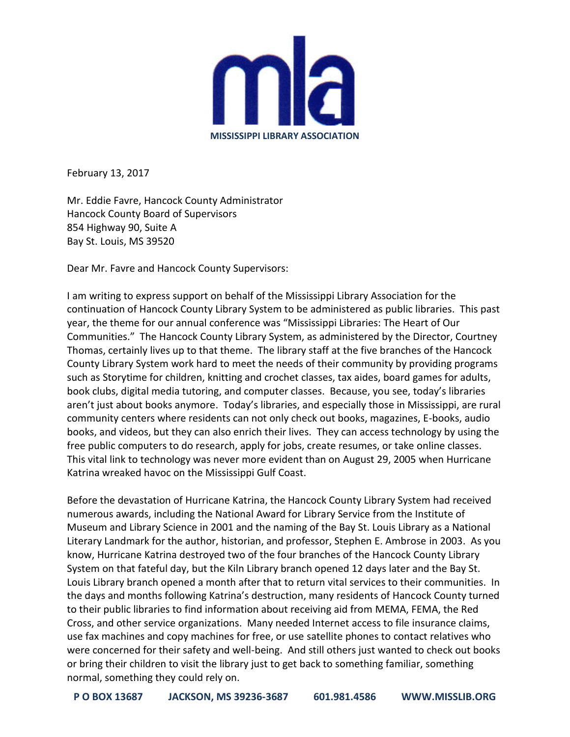

February 13, 2017

Mr. Eddie Favre, Hancock County Administrator Hancock County Board of Supervisors 854 Highway 90, Suite A Bay St. Louis, MS 39520

Dear Mr. Favre and Hancock County Supervisors:

I am writing to express support on behalf of the Mississippi Library Association for the continuation of Hancock County Library System to be administered as public libraries. This past year, the theme for our annual conference was "Mississippi Libraries: The Heart of Our Communities." The Hancock County Library System, as administered by the Director, Courtney Thomas, certainly lives up to that theme. The library staff at the five branches of the Hancock County Library System work hard to meet the needs of their community by providing programs such as Storytime for children, knitting and crochet classes, tax aides, board games for adults, book clubs, digital media tutoring, and computer classes. Because, you see, today's libraries aren't just about books anymore. Today's libraries, and especially those in Mississippi, are rural community centers where residents can not only check out books, magazines, E-books, audio books, and videos, but they can also enrich their lives. They can access technology by using the free public computers to do research, apply for jobs, create resumes, or take online classes. This vital link to technology was never more evident than on August 29, 2005 when Hurricane Katrina wreaked havoc on the Mississippi Gulf Coast.

Before the devastation of Hurricane Katrina, the Hancock County Library System had received numerous awards, including the National Award for Library Service from the Institute of Museum and Library Science in 2001 and the naming of the Bay St. Louis Library as a National Literary Landmark for the author, historian, and professor, Stephen E. Ambrose in 2003. As you know, Hurricane Katrina destroyed two of the four branches of the Hancock County Library System on that fateful day, but the Kiln Library branch opened 12 days later and the Bay St. Louis Library branch opened a month after that to return vital services to their communities. In the days and months following Katrina's destruction, many residents of Hancock County turned to their public libraries to find information about receiving aid from MEMA, FEMA, the Red Cross, and other service organizations. Many needed Internet access to file insurance claims, use fax machines and copy machines for free, or use satellite phones to contact relatives who were concerned for their safety and well-being. And still others just wanted to check out books or bring their children to visit the library just to get back to something familiar, something normal, something they could rely on.